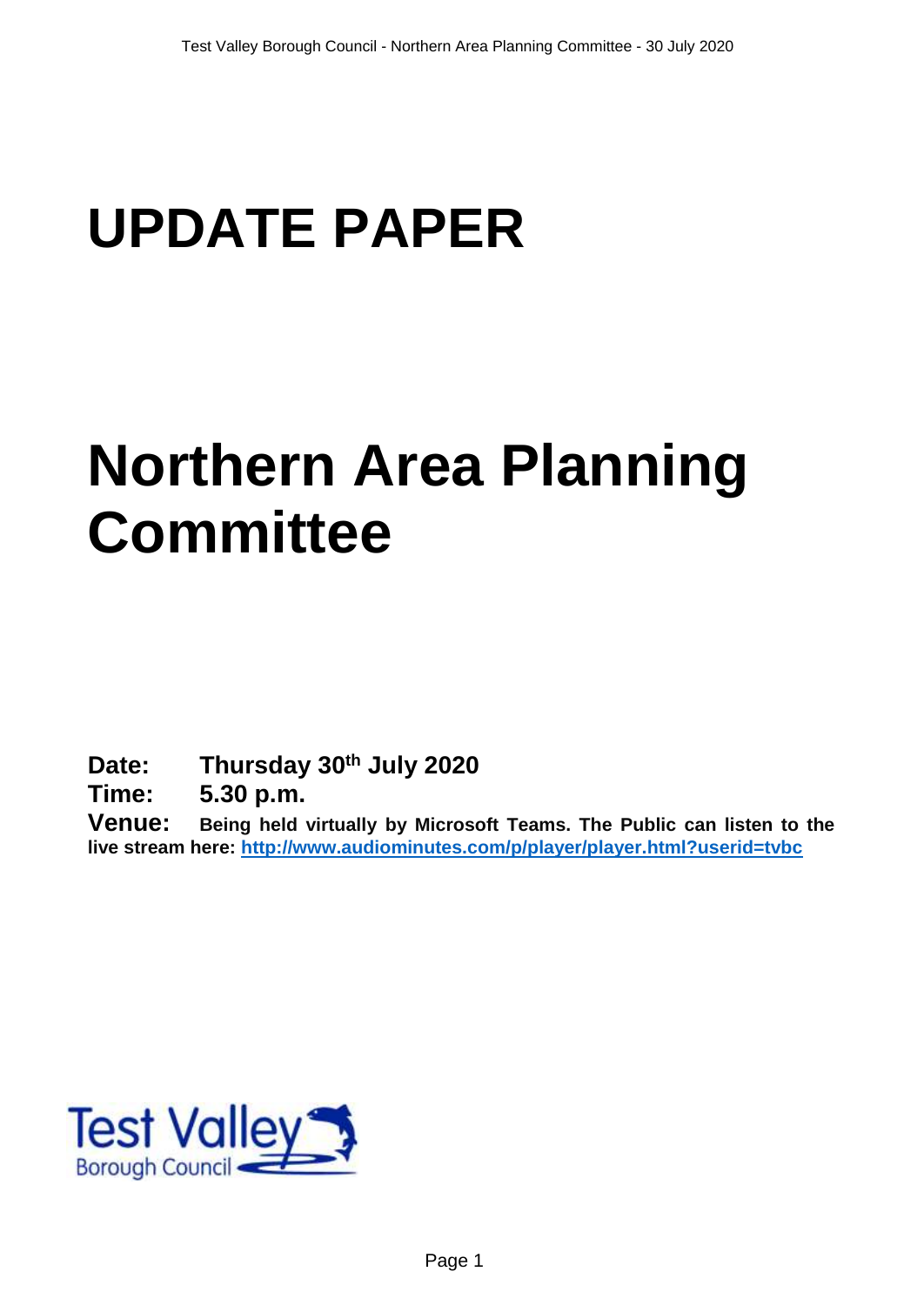# **UPDATE PAPER**

# **Northern Area Planning Committee**

**Date: Thursday 30th July 2020**

**Time: 5.30 p.m.**

**Venue: Being held virtually by Microsoft Teams. The Public can listen to the live stream here:<http://www.audiominutes.com/p/player/player.html?userid=tvbc>**

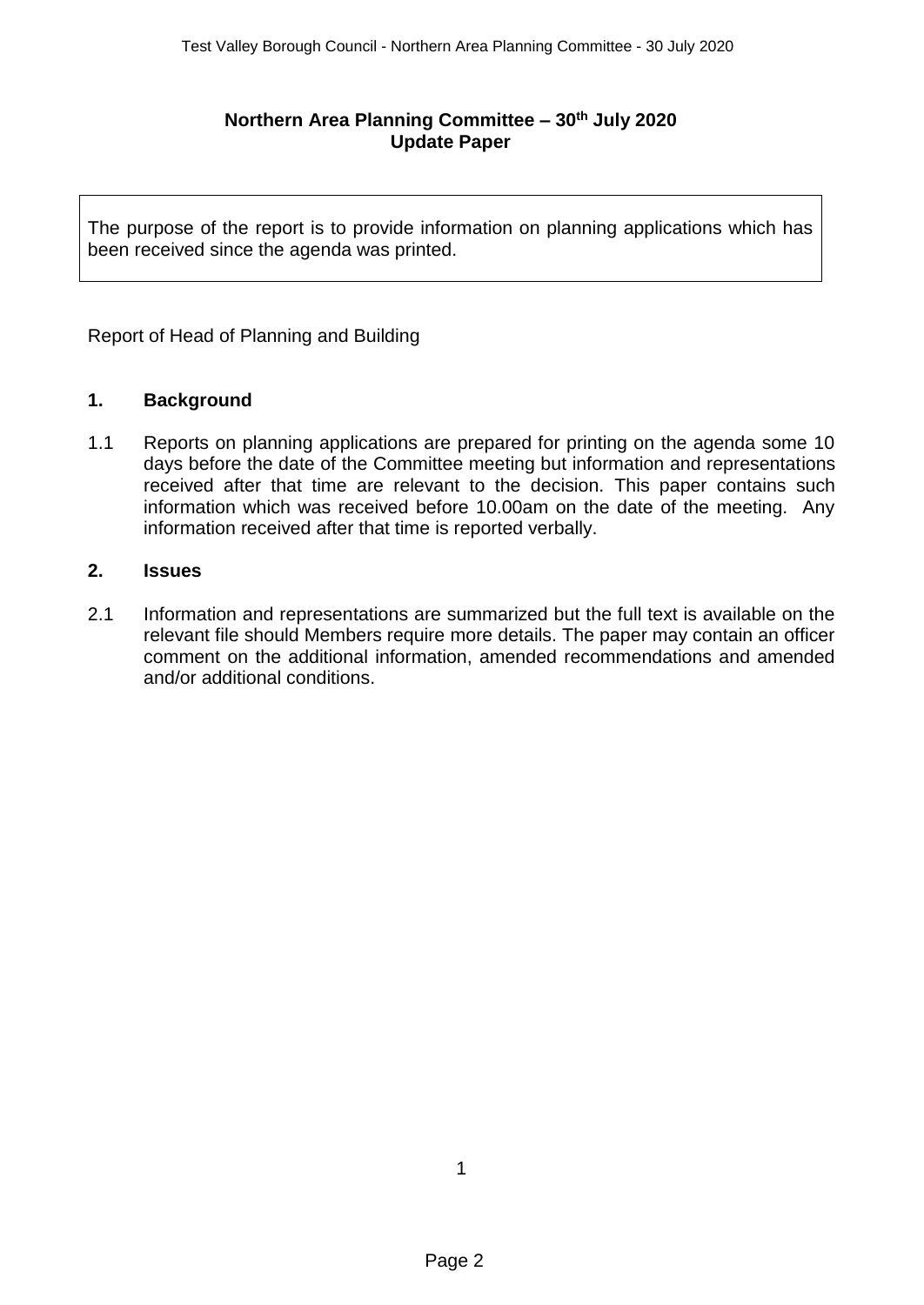## **Northern Area Planning Committee – 30th July 2020 Update Paper**

The purpose of the report is to provide information on planning applications which has been received since the agenda was printed.

Report of Head of Planning and Building

## **1. Background**

1.1 Reports on planning applications are prepared for printing on the agenda some 10 days before the date of the Committee meeting but information and representations received after that time are relevant to the decision. This paper contains such information which was received before 10.00am on the date of the meeting. Any information received after that time is reported verbally.

#### **2. Issues**

2.1 Information and representations are summarized but the full text is available on the relevant file should Members require more details. The paper may contain an officer comment on the additional information, amended recommendations and amended and/or additional conditions.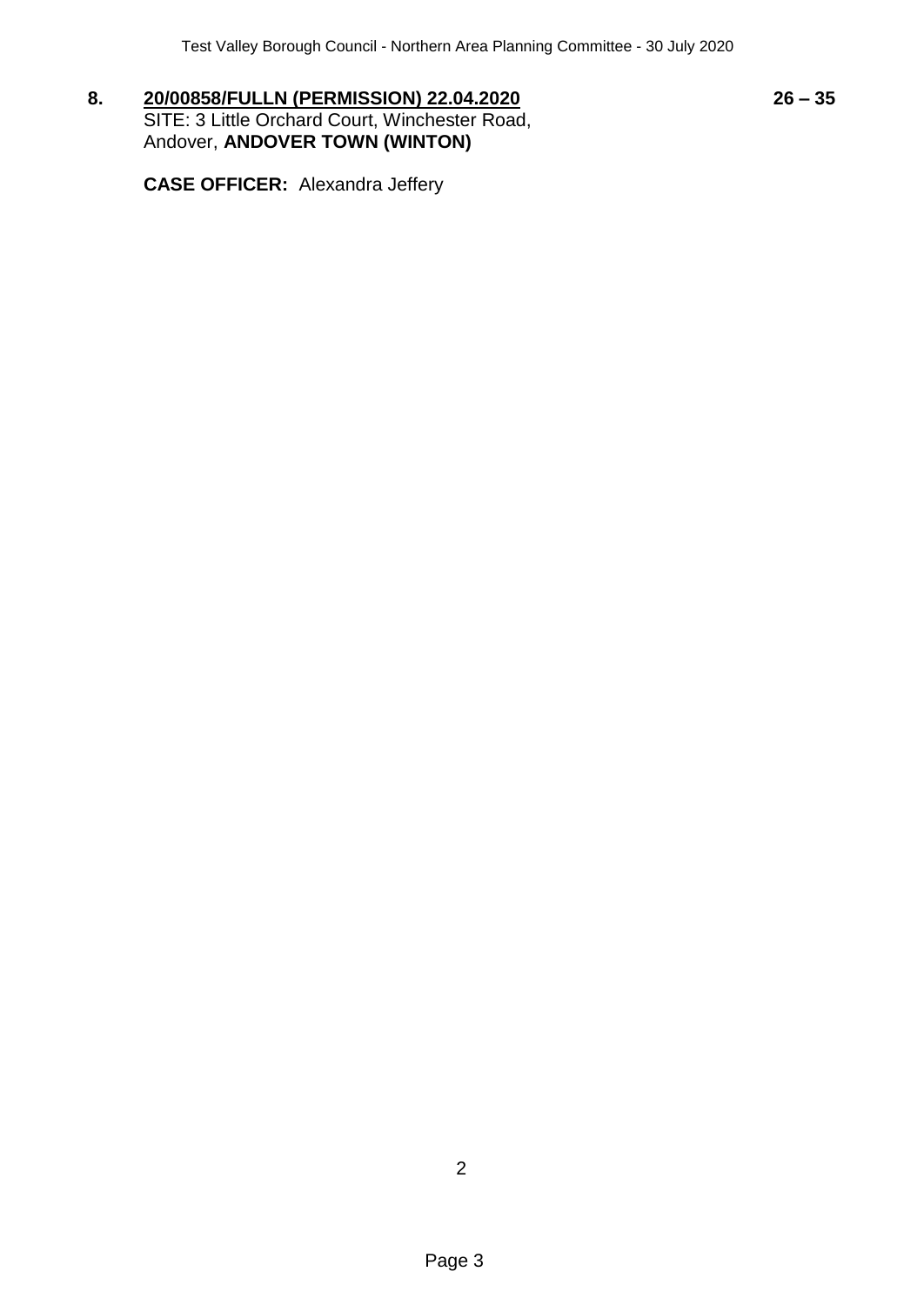**8. 20/00858/FULLN (PERMISSION) 22.04.2020 26 – 35** SITE: 3 Little Orchard Court, Winchester Road, Andover, **ANDOVER TOWN (WINTON)**

**CASE OFFICER:** Alexandra Jeffery